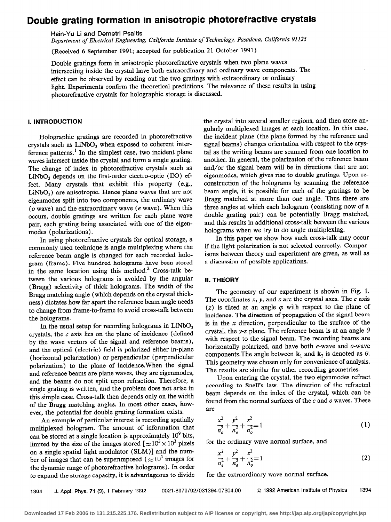# Double grating formation in anisotropic photorefractive crystals

Hsin-Yu Li and Demetri Psaltis

Department of Electrical Engineering, California Institute of Technology, Pasadena, California 91125

(Received 6 September 1991; accepted for publication 21 October 1991)

Double gratings form in anisotropic photorefractive crystals when two plane waves intersecting inside the crystal have both extraordinary and ordinary wave components. The effect can be observed by reading out the two gratings with extraordinary or ordinary light. Experiments confirm the theoretical predictions. The relevance of these results in using photorefractive crystals for holographic storage is discussed.

### 1. INTRODUCTION

Holographic gratings are recorded in photorefractive crystals such as  $LiNbO<sub>3</sub>$  when exposed to coherent interference patterns.' In the simplest case, two incident plane waves intersect inside the crystal and form a single grating. The change of index in photorefractive crystals such as  $LiNbO<sub>3</sub>$  depends on the first-order electro-optic (EO) effect. Many crystals that exhibit this property (e.g.,  $LiNbO<sub>3</sub>$ ) are anisotropic. Hence plane waves that are not eigenmodes split into two components, the ordinary wave (o wave) and the extraordinary wave (e wave). When this occurs, double gratings are written for each plane wave pair, each grating being associated with one of the eigenmodes (polarizations).

In using photorefractive crystals for optical storage, a commonly used technique is angle multiplexing where the reference beam angle is changed for each recorded hologram (frame). Five hundred holograms have been stored in the same location using this method.<sup>2</sup> Cross-talk between the various holograms is avoided by the angular (Bragg) selectivity of thick holograms. The width of the Bragg matching angle (which depends on the crystal thickness) dictates how far apart the reference beam angle needs to change from frame-to-frame to avoid cross-talk between the holograms.

In the usual setup for recording holograms in  $LiNbO<sub>3</sub>$ crystals, the c axis lies on the plane of incidence (defined by the wave vectors of the signal and reference beams), and the optical (electric) field is polarized either in-plane (horizontal polarization) or perpendicular (perpendicular polarization) to the plane of incidence.When the signal and reference beams are plane waves, they are eigenmodes, and the beams do not split upon refraction. Therefore, a single grating is written, and the problem does not arise in this simple case. Cross-talk then depends only on the width of the Bragg matching angles. In most other cases, however, the potential for double grating formation exists.

An example of particular interest is recording spatially multiplexed hologram. The amount of information that can be stored at a single location is approximately  $10^9$  bits, limited by the size of the images stored  $\approx 10^3 \times 10^3$  pixels on a single spatial light modulator (SLM)] and the number of images that can be superimposed ( $\approx 10^3$  images for the dynamic range of photorefractive holograms). In order to expand the storage capacity, it is advantageous to divide the crystal into several smaller regions, and then store angularly multiplexed images at each location. In this case, the incident plane (the plane formed by the reference and signal beams) changes orientation with respect to the crystal as the writing beams are scanned from one location to another. In general, the polarization of the reference beam and/or the signal beam will be in directions that are not eigenmodes, which gives rise to double gratings. Upon reconstruction of the holograms by scanning the reference beam angle, it is possible for each of the gratings to be Bragg matched at more than one angle. Thus there are three angles at which each hologram (consisting now of a double grating pair) can be potentially Bragg matched, and this results in additional cross-talk between the various holograms when we try to do angle multiplexing.

In this paper we show how such cross-talk may occur if the light polarization is not selected correctly. Comparisons between theory and experiment are given, as well as a discussion of possible applications.

### II. THEORY

The geometry of our experiment is shown in Fig. 1. The coordinates  $x$ ,  $y$ , and  $z$  are the crystal axes. The  $c$  axis (z) is tilted at an angle  $\varphi$  with respect to the plane of incidence. The direction of propagation of the signal beam is in the  $x$  direction, perpendicular to the surface of the crystal, the y-z plane. The reference beam is at an angle  $\theta$ with respect to the signal beam. The recording beams are horizontally polarized, and have both e-wave and o-wave components. The angle between  $k_1$  and  $k_2$  is denoted as  $\theta$ . This geometry was chosen only for convenience of analysis. The results are similar for other recording geometries.

Upon entering the crystal, the two eigenmodes refract according to Snell's law. The direction of the refracted beam depends on the index of the crystal, which can be found from the normal surfaces of the  $e$  and  $o$  waves. These are

$$
\frac{x^2}{n_o^2} + \frac{y^2}{n_o^2} + \frac{z^2}{n_o^2} = 1
$$
 (1)

for the ordinary wave normal surface, and

$$
\frac{x^2}{n_e^2} + \frac{y^2}{n_e^2} + \frac{z^2}{n_o^2} = 1
$$
 (2)

for the extraordinary wave normal surface.

1394 J. Appl. Phys. 71 (3), 1 February 1992 0021-8979/92/031394-07\$04.00 @I 1992 American Institute of Physics 1394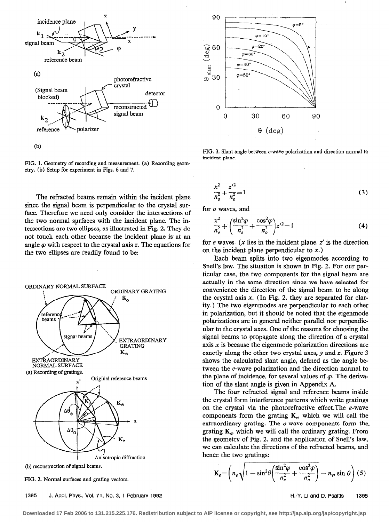

FIG. 1. Geometry of recording and measurement. (a) Recording geometry. (b) Setup for experiment in Figs. 6 and 7.

The refracted beams remain within the incident plane since the signal beam is perpendicular to the crystal surface. Therefore we need only consider the intersections of the two normal surfaces with the incident plane. The intersections are two ellipses, as illustrated in Fig. 2. They do not touch each other because the incident plane is at an angle  $\varphi$  with respect to the crystal axis z. The equations for the two ellipses are readily found to be:



FIG. 2. Normal surfaces and grating vectors.

1395 J. Appl. Phys., Vol. 71, No. 3, 1 February 1992 **Heather Accord Figure 1995** H.-Y. Li and D. Psaltis 1395



FIG. 3. Slant angle between e-wave polarization and direction normal to incident plane.

$$
\frac{x^2}{n_o^2} + \frac{z'^2}{n_o^2} = 1\tag{3}
$$

for o waves, and

$$
\frac{x^2}{n_e^2} + \left(\frac{\sin^2 \varphi}{n_e^2} + \frac{\cos^2 \varphi}{n_o^2}\right) z'^2 = 1\tag{4}
$$

for  $e$  waves. ( $x$  lies in the incident plane.  $z'$  is the direction on the incident plane perpendicular to x.)

Each beam splits into two eigenmodes according to Snell's law. The situation is shown in Fig. 2. For our particular case, the two components for the signal beam are actually in the same direction since we have selected for convenience the direction of the signal beam to be along the crystal axis  $x$ . (In Fig. 2, they are separated for clarity.) The two eigenmodes are perpendicular to each other in polarization, but it should be noted that the eigenmode polarizations are in general neither parallel nor perpendicular to the crystal axes. One of the reasons for choosing the signal beams to propagate along the direction of a crystal axis  $x$  is because the eigenmode polarization directions are exactly along the other two crystal axes,  $\nu$  and  $z$ . Figure 3 shows the calculated slant angle, defined as the angle between the e-wave polarization and the direction normal to the plane of incidence, for several values of  $\varphi$ . The derivation of the slant angle is given in Appendix A.

The four refracted signal and reference beams inside the crystal form interference patterns which write gratings on the crystal via the photorefractive effect.The e-wave components form the grating  $K_e$ , which we will call the extraordinary grating. The o-wave components form the. grating  $K_o$ , which we will call the ordinary grating. From the geometry of Fig. 2, and the application of Snell's law, we can calculate the directions of the refracted beams, and hence the two gratings:

$$
\mathbf{K}_{e} = \left(n_{e}\sqrt{1-\sin^{2}\theta\left(\frac{\sin^{2}\varphi}{n_{e}^{2}}+\frac{\cos^{2}\varphi}{n_{o}^{2}}\right)}-n_{e},\sin\theta\right)
$$
 (5)

**Downloaded 17 Feb 2006 to 131.215.225.176. Redistribution subject to AIP license or copyright, see http://jap.aip.org/jap/copyright.jsp**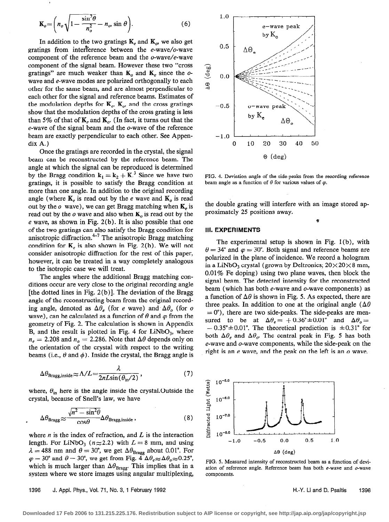$$
\mathbf{K}_o = \left( n_o \sqrt{1 - \frac{\sin^2 \theta}{n_o^2}} - n_o \sin \theta \right). \tag{6}
$$

In addition to the two gratings  $K_e$  and  $K_o$ , we also get gratings from interference between the  $e$ -wave/ $o$ -wave component of the reference beam and the o-wave/e-wave component of the signal beam. However these two "cross gratings" are much weaker than  $K_o$  and  $K_e$  since the owave and e-wave modes are polarized orthogonally to each other for the same beam, and are almost perpendicular to each other for the signal and reference beams. Estimates of the modulation depths for  $K_e$ ,  $K_o$ , and the cross gratings show that the modulation depths of the cross grating is less than 5% of that of  $K_c$  and  $K_c$ . (In fact, it turns out that the e-wave of the signal beam and the o-wave of the reference beam are exactly perpendicular to each other. See Appendix A.)

Once the gratings are recorded in the crystal, the signal beam can be reconstructed by the reference beam. The angle at which the signal can be reproduced is determined by the Bragg condition  $k_1 = k_2 + K^3$  Since we have two gratings, it is possible to satisfy the Bragg condition at more than one angle. In addition to the original recording angle (where  $K<sub>e</sub>$  is read out by the e wave and  $K<sub>o</sub>$  is read out by the  $o$  wave), we can get Bragg matching when  $K<sub>e</sub>$  is read out by the o wave and also when  $K_o$  is read out by the  $e$  wave, as shown in Fig. 2(b). It is also possible that one of the two gratings can also satisfy the Bragg condition for anisotropic diffraction. $^{4-7}$  The anisotropic Bragg matching condition for  $K_n$ , is also shown in Fig. 2(b). We will not consider anisotropic diffraction for the rest of this paper, however, it can be treated in a way completely analogous to the isotropic case we will treat.

The angles where the additional Bragg matching conditions occur are very close to the original recording angle [the dotted lines in Fig.  $2(b)$ ]. The deviation of the Bragg angle of the reconstructing beam from the original recording angle, denoted as  $\Delta\theta_e$  (for e wave) and  $\Delta\theta_o$  (for o wave), can be calculated as a function of  $\theta$  and  $\varphi$  from the geometry of Fig. 2. The calculation is shown in Appendix B, and the result is plotted in Fig. 4 for  $LiNbO<sub>3</sub>$ , where  $n_e = 2.208$  and  $n_o = 2.286$ . Note that  $\Delta\theta$  depends only on the orientation of the crystal with respect to the writing beams (i.e.,  $\theta$  and  $\phi$ ). Inside the crystal, the Bragg angle is

$$
\Delta \theta_{\text{Bragg, inside}} \approx \Lambda / L = \frac{\lambda}{2nL \sin(\theta_{\text{in}}/2)},\tag{7}
$$

where,  $\theta_{\rm in}$  here is the angle inside the crystal. Outside the crystal, because of Snell's law, we have

$$
\Delta \theta_{\text{Bragg}} \approx \frac{\sqrt{n^2 - \sin^2 \theta}}{\cos \theta} \Delta \theta_{\text{Bragg, inside}} \,, \tag{8}
$$

where  $n$  is the index of refraction, and  $L$  is the interaction length. For LiNbO<sub>3</sub> ( $n \approx 2.2$ ) with  $L = 8$  mm, and using  $\lambda = 488$  nm and  $\theta = 30^{\circ}$ , we get  $\Delta \theta_{\text{Bragg}}$  about 0.01°. For  $\varphi = 30^{\circ}$  and  $\theta = 30^{\circ}$ , we get from Fig.  $4 \Delta \theta_e \approx \Delta \theta_o \approx 0.25^{\circ}$ , which is much larger than  $\Delta\theta_{\text{Bragg}}$ . This implies that in a system where we store images using angular multiplexing,



FIG. 4. Deviation angle of the side-peaks from the recording reference beam angle as a function of  $\theta$  for various values of  $\varphi$ .

the double grating will interfere with an image stored approximately 25 positions away.

5

#### 111. EXPERlMENTS

The experimental setup is shown in Fig. 1 (b), with  $\theta = 34^{\circ}$  and  $\varphi = 30^{\circ}$ . Both signal and reference beams are polarized in the plane of incidence. We record a hologram in a LiNbO<sub>3</sub> crystal (grown by Deltronics;  $20 \times 20 \times 8$  mm, 0.01% Fe doping) using two plane waves, then block the signal beam. The detected intensity for the reconstructed beam (which has both e-wave and o-wave components) as a function of  $\Delta\theta$  is shown in Fig. 5. As expected, there are three peaks. In addition to one at the original angle ( $\Delta\theta$ )  $= 0^{\circ}$ ), there are two side-peaks. The side-peaks are measured to be at  $\Delta \theta_e = +0.36^\circ \pm 0.01^\circ$  and  $\Delta \theta_o =$  $- 0.35^{\circ} \pm 0.01^{\circ}$ . The theoretical prediction is  $\pm 0.31^{\circ}$  for both  $\Delta\theta_{\epsilon}$  and  $\Delta\theta_{o}$ . The central peak in Fig. 5 has both e-wave and o-wave components, while the side-peak on the right is an  $e$  wave, and the peak on the left is an  $o$  wave.



FIG. 5. Measured intensity of reconstructed beam as a function of deviation of reference angle. Reference beam has both  $e$ -wave and  $o$ -wave components.

1396 J. Appl. Phys., Vol. 71, No. 3, 1 February 1992 H. Assembly 2008 H.-Y. Li and D. Psaltis 1396

**Downloaded 17 Feb 2006 to 131.215.225.176. Redistribution subject to AIP license or copyright, see http://jap.aip.org/jap/copyright.jsp**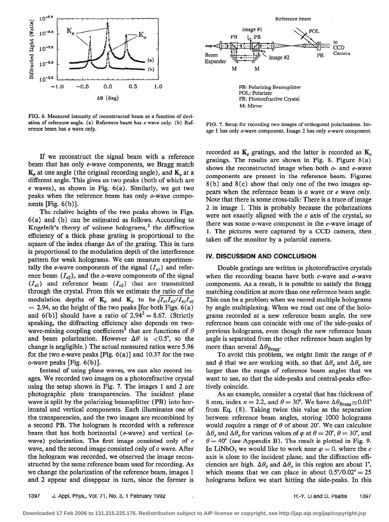

FIG. 6. Measured intensity of reconstructed beam as a function of deviation of reference angle. (a) Reference beam has e wave only. (b) Reference beam has o wave only.

If we reconstruct the signal beam with a reference beam that has only e-wave components, we Bragg match  $K_e$  at one angle (the original recording angle), and  $K_o$  at a different angle. This gives us two peaks (both of which are e waves), as shown in Fig. 6(a). Similarly, we get two peaks when the reference beam has only o-wave components  $[Fig. 6(b)].$ 

The relative heights of the two peaks shown in Figs. 6(a) and (b) can be estimated as follows. According to Kogelnik's theory of volume holograms, $<sup>3</sup>$  the diffraction</sup> efficiency of a thick phase grating is proportional to the square of the index change  $\Delta n$  of the grating. This in turn is proportional to the modulation depth of the interference pattern for weak holograms. We can measure experimentally the e-wave components of the signal  $(I_{e1})$  and reference beam  $(I_{e2})$ , and the o-wave components of the signal  $(I_{o1})$  and reference beam  $(I_{o2})$  that are transmitted through the crystal. From this we estimate the ratio of the modulation depths of  $\mathbf{K}_e$  and  $\mathbf{K}_o$  to be  $\sqrt{I_{el}I_{e2}/I_{o1}I_{o2}}$  $= 2.94$ , so the height of the two peaks [for both Figs. 6(a) and 6(b)] should have a ratio of  $2.94^2 = 8.67$ . (Strictly speaking, the diffracting efficiency also depends on twowave-mixing coupling coefficients<sup>8</sup> that are functions of  $\theta$ and beam polarization. However  $\Delta\theta$  is <0.5°, so the change is negligible.) The actual measured ratios were 5.96 for the two e-wave peaks [Fig.  $6(a)$ ] and 10.37 for the two o-wave peaks [Fig. 6(b)].

Instead of using plane waves, we can also record images. We recorded two images on a photorefractive crystal using the setup shown in Fig. 7. The images 1 and 2 are photographic plate transparencies. The incident plane wave is split by the polarizing beamsplitter (PB) into horizontal and vertical components. Each illuminates one of the transparencies, and the two images are recombined by a second PB. The hologram is recorded with a reference beam that has both horizontal (e-wave) and vertical (owave) polarization. The first image consisted only of e wave, and the second image consisted only of o wave. After the hologram was recorded, we observed the image reconstructed by the same reference beam used for recording. As we change the polarization of the reference beam, images 1 and 2 appear and disappear in turn, since the former is



FIG. 7. Setup for recording two images of orthogonal polarizations. Image 1 has only o-wave component. Image 2 has only e-wave component.

recorded as  $K_e$  gratings, and the latter is recorded as  $K_a$ gratings. The results are shown in Fig. 8. Figure 8(a) shows the reconstructed image when both  $o$ - and  $e$ -wave components are present in the reference beam. Figures 8(b) and 8(c) show that only one of the two images appears when the reference beam is o wave or e wave only. Note that there is some cross-talk: There is a trace of image 2 in image 1. This is probably because the polarizations were not exactly aligned with the  $c$  axis of the crystal, so there was some o-wave component in the e-wave image of 1. The pictures were captured by a CCD camera, then , taken off the monitor by a polaroid camera.

## IV. DISCUSSION AND CONCLUSION

Double gratings are written in photorefractive crystals when the recording beams have both  $e$ -wave and  $o$ -wave components. As a result, it is possible to satisfy the Bragg matching condition at more than one reference beam angle. This can be a problem when we record multiple holograms by angle multiplexing. When we read out one of the holograms recorded at a new reference beam angle, the new reference beam can coincide with one of the side-peaks of previous holograms, even though the new reference beam angle is separated from the other reference beam angles by more than several  $\Delta\theta_{\text{Bragg}}$ .

To avoid this problem, we might limit the range of  $\theta$ and  $\phi$  that we are working with, so that  $\Delta\theta_e$  and  $\Delta\theta_o$  are larger than the range of reference beam angles that we want to use, so that the side-peaks and central-peaks effectively coincide.

As an example, consider a crystal that has thickness of 8 mm, index  $n = 2.2$ , and  $\theta = 30^{\circ}$ . We have  $\Delta \theta_{\text{Bragg}} \approx 0.01^{\circ}$ from Eq. (8). Taking twice this value as the separation between reference beam angles, storing 1000 holograms would require a range of  $\theta$  of about 20°. We can calculate  $\Delta\theta_e$  and  $\Delta\theta_o$  for various values of  $\varphi$  at  $\theta = 20^\circ$ ,  $\theta = 30^\circ$ , and  $\theta = 40^{\circ}$  (see Appendix B). The result is plotted in Fig. 9. In LiNbO<sub>3</sub> we would like to work near  $\varphi = 0$ , where the c axis is close to the incident plane, and the diffraction efficiencies are high.  $\Delta\theta_e$  and  $\Delta\theta_o$  in this region are about 1°, which means that we can place in about  $0.5^{\circ}/0.02^{\circ} = 25$ holograms before we start hitting the side-peaks. In this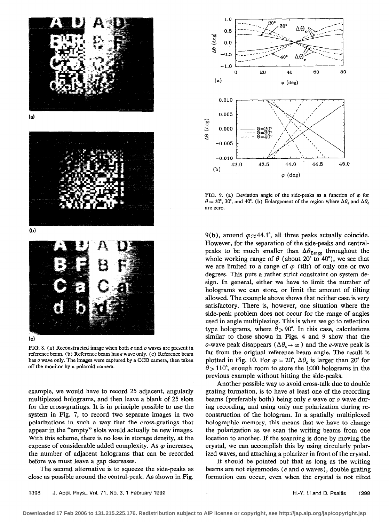

 $(a)$ 



(b)



# (c)

FIG. 8. (a) Reconstructed image when both  $e$  and  $o$  waves are present in reference beam. (b) Reference beam has e wave only. (c) Reference beam has  $o$  wave only. The images were captured by a CCD camera, then taken off the monitor by a polaroid camera.

example, we would have to record 25 adjacent, angularly multiplexed holograms, and then leave a blank of 25 slots for the cross-gratings. It is in principle possible to use the system in Fig. 7, to record two separate images in two polarizations in such a way that the cross-gratings that appear in the "empty" slots would actually be new images. With this scheme, there is no loss in storage density, at the expense of considerable added complexity. As  $\varphi$  increases, the number of adjacent holograms that can be recorded before we must leave a gap decreases.

The second alternative is to squeeze the side-peaks as close as possible around the central-peak. As shown in Fig.



FIG. 9. (a) Deviation angle of the side-peaks as a function of  $\varphi$  for  $\theta = 20^{\circ}$ , 30°, and 40°. (b) Enlargement of the region where  $\Delta \theta_e$  and  $\Delta \theta_o$ are zero.

9(b), around  $\varphi \approx 44.1^\circ$ , all three peaks actually coincide. However, for the separation of the side-peaks and centralpeaks to be much smaller than  $\Delta\theta_{\text{Bragg}}$  throughout the whole working range of  $\theta$  (about 20° to 40°), we see that we are limited to a range of  $\varphi$  (tilt) of only one or two degrees. This puts a rather strict constraint on system design. In general, either we have to limit the number of holograms we can store, or limit the amount of tilting allowed. The example above shows that neither case is very satisfactory. There is, however, one situation where the side-peak problem does not occur for the range of angles used in angle multiplexing. This is when we go to reflection type holograms, where  $\theta > 90^\circ$ . In this case, calculations similar to those shown in Figs. 4 and 9 show that the o-wave peak disappears ( $\Delta\theta_o \rightarrow \infty$ ) and the e-wave peak is far from the original reference beam angle. The result is plotted in Fig. 10. For  $\varphi = 20^{\circ}$ ,  $\Delta \theta_o$  is larger than 20° for  $\theta$  > 110°, enough room to store the 1000 holograms in the previous example without hitting the side-peaks.

Another possible way to avoid cross-talk due to double grating formation, is to have at least one of the recording beams (preferably both) being only e wave or o wave during recording, and using only one polarization during reconstruction of the hologram. In a spatially multiplexed holographic memory, this means that we have to change the polarization as we scan the writing beams from one location to another. If the scanning is done by moving the crystal, we can accomplish this by using circularly polarized waves, and attaching a polarizer in front of the crystal.

It should be pointed out that as long as the writing beams are not eigenmodes (e and o waves), double grating formation can occur, even when the crystal is not tilted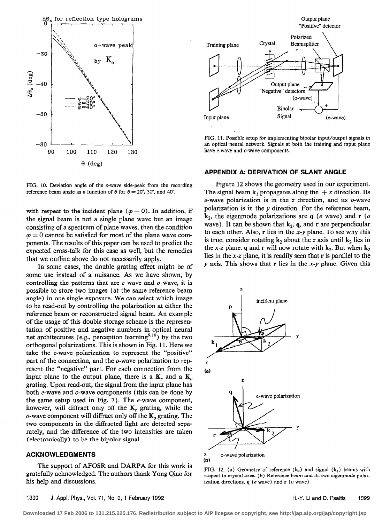

FIG. 10. Deviation angle of the o-wave side-peak from the recording reference beam angle as a function of  $\theta$  for  $\theta = 20^{\circ}$ , 30°, and 40°.

with respect to the incident plane ( $\varphi = 0$ ). In addition, if the signal beam is not a single plane wave but an image consisting of a spectrum of plane waves, then the condition  $\varphi = 0$  cannot be satisfied for most of the plane wave components. The results of this paper can be used to predict the expected cross-talk for this case as well, but the remedies that we outline above do not necessarily apply.

In some cases, the double grating effect might be of some use instead of a nuisance. As we have shown, by controlling the patterns that are  $e$  wave and  $o$  wave, it is possible to store two images (at the same reference beam angle) in one single exposure. We can select which image to be read-out by controlling the polarization at either the reference beam or reconstructed signal beam. An example of the usage of this double storage scheme is the representation of positive and negative numbers in optical neural net architectures (e.g., perception learning<sup>9,10</sup>) by the two orthogonal polarizations. This is shown in Fig. 11. Here we take the e-wave polarization to represent the "positive" part of the connection, and the o-wave polarization to represent the "negative" part. For each connection from the input plane to the output plane, there is a  $K_e$  and a  $K_o$ grating. Upon read-out, the signal from the input plane has both e-wave and o-wave components (this can be done by the same setup used in Fig. 7). The e-wave component, however, will diffract only off the  $K_e$  grating, while the o-wave component will diffract only off the  $K_0$  grating. The two components in the diffracted light are detected separately, and the difference of the two intensities are taken (electronically) to be the bipolar signal.

# ACKNOWLEDGMENTS

The support of AFOSR and DARPA for this work is gratefully acknowledged. The authors thank Yong Qiao for his help and discussions.



FIG. 11. Possible setup for implementing bipolar input/output signals in an optical neural network. Signals at both the training and input plane have e-wave and o-wave components.

#### APPENDIX A: DERIVATION OF SLANT ANGLE

Figure 12 shows the geometry used in our experiment. The signal beam  $k_1$  propagates along the  $+x$  direction. Its e-wave polarization is in the z direction, and its o-wave polarization is in the y direction. For the reference beam,  $k_2$ , the eigenmode polarizations are q (e wave) and r (o wave). It can be shown that  $k_2$ , q, and r are perpendicular to each other. Also,  $r$  lies in the  $x-y$  plane. To see why this is true, consider rotating  $k_2$  about the z axis until  $k_2$  lies in the x-z plane. q and r will now rotate with  $k_2$ . But when  $k_2$ lies in the x-z plane, it is readily seen that r is parallel to the  $y$  axis. This shows that r lies in the x-y plane. Given this



FIG. 12. (a) Geometry of reference  $(k_2)$  and signal  $(k_1)$  beams with respect to crystal axes. (b) Reference beam and its two eigenmode polarization directions,  $q$  (e wave) and  $r$  (o wave).

**Downloaded 17 Feb 2006 to 131.215.225.176. Redistribution subject to AIP license or copyright, see http://jap.aip.org/jap/copyright.jsp**